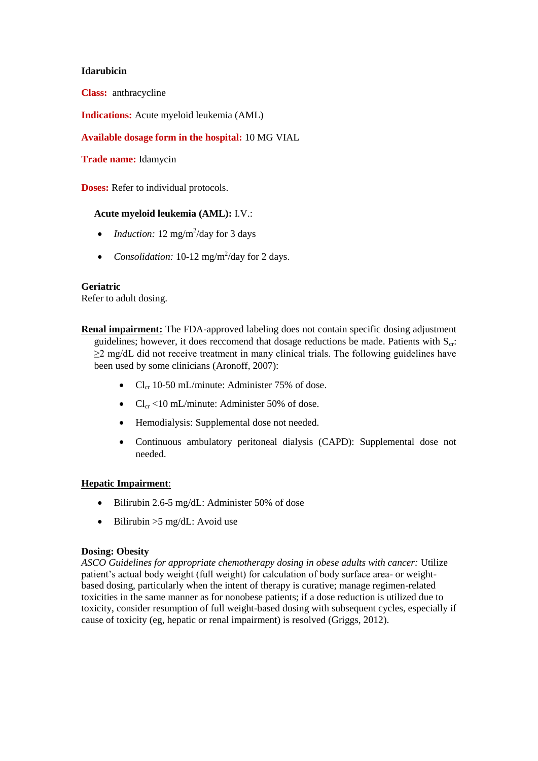## **Idarubicin**

**Class:** anthracycline

**Indications:** Acute myeloid leukemia (AML)

# **Available dosage form in the hospital:** 10 MG VIAL

**Trade name:** Idamycin

**Doses:** Refer to individual protocols.

### **Acute myeloid leukemia (AML):** I.V.:

- *Induction:*  $12 \text{ mg/m}^2/\text{day}$  for 3 days
- *Consolidation:* 10-12 mg/m<sup>2</sup>/day for 2 days.

#### **Geriatric**

Refer to adult dosing.

**Renal impairment:** The FDA-approved labeling does not contain specific dosing adjustment guidelines; however, it does reccomend that dosage reductions be made. Patients with  $S_{cr}$ : ≥2 mg/dL did not receive treatment in many clinical trials. The following guidelines have been used by some clinicians (Aronoff, 2007):

- $Cl_{cr}$  10-50 mL/minute: Administer 75% of dose.
- $Cl_{cr}$  <10 mL/minute: Administer 50% of dose.
- Hemodialysis: Supplemental dose not needed.
- Continuous ambulatory peritoneal dialysis (CAPD): Supplemental dose not needed.

## **Hepatic Impairment**:

- Bilirubin 2.6-5 mg/dL: Administer 50% of dose
- $\bullet$  Bilirubin >5 mg/dL: Avoid use

#### **Dosing: Obesity**

*ASCO Guidelines for appropriate chemotherapy dosing in obese adults with cancer:* Utilize patient's actual body weight (full weight) for calculation of body surface area- or weightbased dosing, particularly when the intent of therapy is curative; manage regimen-related toxicities in the same manner as for nonobese patients; if a dose reduction is utilized due to toxicity, consider resumption of full weight-based dosing with subsequent cycles, especially if cause of toxicity (eg, hepatic or renal impairment) is resolved (Griggs, 2012).